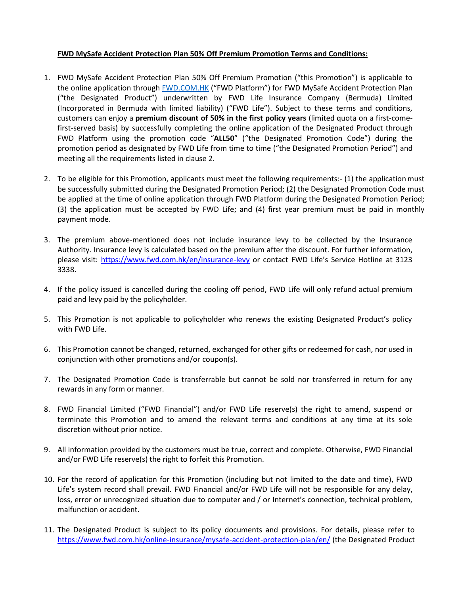## **FWD MySafe Accident Protection Plan 50% Off Premium Promotion Terms and Conditions:**

- 1. FWD MySafe Accident Protection Plan 50% Off Premium Promotion ("this Promotion") is applicable to the online application through **FWD.COM.HK** ("FWD Platform") for FWD MySafe Accident Protection Plan ("the Designated Product") underwritten by FWD Life Insurance Company (Bermuda) Limited (Incorporated in Bermuda with limited liability) ("FWD Life"). Subject to these terms and conditions, customers can enjoy a **premium discount of 50% in the first policy years** (limited quota on a first-comefirst-served basis) by successfully completing the online application of the Designated Product through FWD Platform using the promotion code "**ALL50**" ("the Designated Promotion Code") during the promotion period as designated by FWD Life from time to time ("the Designated Promotion Period") and meeting all the requirements listed in clause 2.
- 2. To be eligible for this Promotion, applicants must meet the following requirements:- (1) the application must be successfully submitted during the Designated Promotion Period; (2) the Designated Promotion Code must be applied at the time of online application through FWD Platform during the Designated Promotion Period; (3) the application must be accepted by FWD Life; and (4) first year premium must be paid in monthly payment mode.
- 3. The premium above-mentioned does not include insurance levy to be collected by the Insurance Authority. Insurance levy is calculated based on the premium after the discount. For further information, please visit: <https://www.fwd.com.hk/en/insurance-levy> or contact FWD Life's Service Hotline at 3123 3338.
- 4. If the policy issued is cancelled during the cooling off period, FWD Life will only refund actual premium paid and levy paid by the policyholder.
- 5. This Promotion is not applicable to policyholder who renews the existing Designated Product's policy with FWD Life.
- 6. This Promotion cannot be changed, returned, exchanged for other gifts or redeemed for cash, nor used in conjunction with other promotions and/or coupon(s).
- 7. The Designated Promotion Code is transferrable but cannot be sold nor transferred in return for any rewards in any form or manner.
- 8. FWD Financial Limited ("FWD Financial") and/or FWD Life reserve(s) the right to amend, suspend or terminate this Promotion and to amend the relevant terms and conditions at any time at its sole discretion without prior notice.
- 9. All information provided by the customers must be true, correct and complete. Otherwise, FWD Financial and/or FWD Life reserve(s) the right to forfeit this Promotion.
- 10. For the record of application for this Promotion (including but not limited to the date and time), FWD Life's system record shall prevail. FWD Financial and/or FWD Life will not be responsible for any delay, loss, error or unrecognized situation due to computer and / or Internet's connection, technical problem, malfunction or accident.
- 11. The Designated Product is subject to its policy documents and provisions. For details, please refer to <https://www.fwd.com.hk/online-insurance/mysafe-accident-protection-plan/en/> (the Designated Product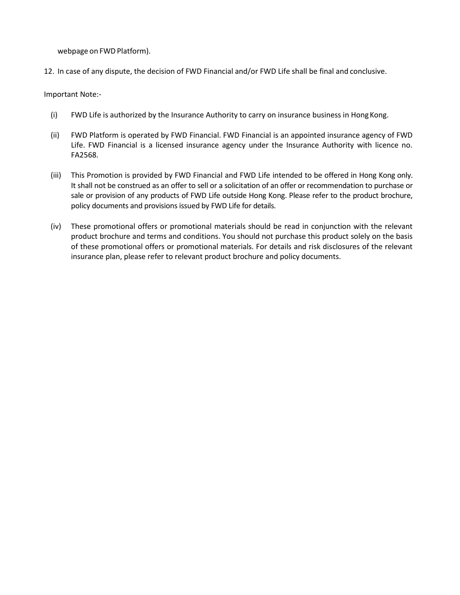webpage on FWD Platform).

12. In case of any dispute, the decision of FWD Financial and/or FWD Life shall be final and conclusive.

Important Note:-

- (i) FWD Life is authorized by the Insurance Authority to carry on insurance business in Hong Kong.
- (ii) FWD Platform is operated by FWD Financial. FWD Financial is an appointed insurance agency of FWD Life. FWD Financial is a licensed insurance agency under the Insurance Authority with licence no. FA2568.
- (iii) This Promotion is provided by FWD Financial and FWD Life intended to be offered in Hong Kong only. It shall not be construed as an offer to sell or a solicitation of an offer or recommendation to purchase or sale or provision of any products of FWD Life outside Hong Kong. Please refer to the product brochure, policy documents and provisions issued by FWD Life for details.
- (iv) These promotional offers or promotional materials should be read in conjunction with the relevant product brochure and terms and conditions. You should not purchase this product solely on the basis of these promotional offers or promotional materials. For details and risk disclosures of the relevant insurance plan, please refer to relevant product brochure and policy documents.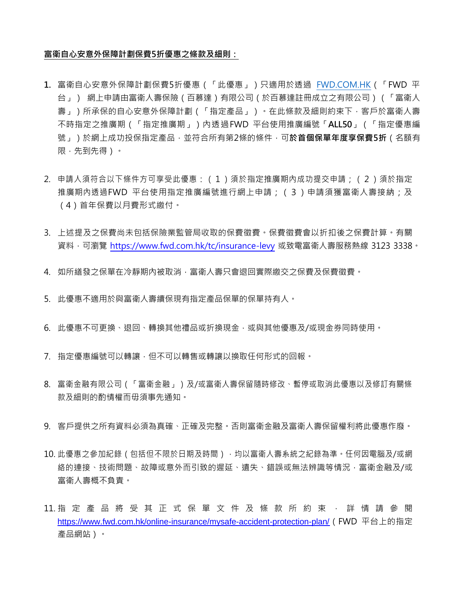## **富衛自心安意外保障計劃保費5折優惠之條款及細則:**

- **1.** 富衛自心安意外保障計劃保費5折優惠(「此優惠」)只適用於透過 FWD.COM.HK(「FWD 平 台」) 網上申請由富衛人壽保險(百慕達)有限公司(於百慕達註冊成立之有限公司)(「富衛人 壽」)所承保的自心安意外保障計劃(「指定產品」)。在此條款及細則約束下,客戶於富衛人壽 不時指定之推廣期(「指定推廣期」)內透過FWD 平台使用推廣編號「**ALL50**」(「指定優惠編 號」)於網上成功投保指定產品,並符合所有第2條的條件,可**於首個保單年度享保費5折**(名額有 限,先到先得)。
- 2. 申請人須符合以下條件方可享受此優惠:(1)須於指定推廣期內成功提交申請;(2)須於指定 推廣期內透過FWD 平台使用指定推廣編號進行網上申請;(3)申請須獲富衛人壽接納;及 (4)首年保費以月費形式繳付。
- 3. 上述提及之保費尚未包括保險業監管局收取的保費徵費。保費徵費會以折扣後之保費計算。有關 資料,可瀏覽 <https://www.fwd.com.hk/tc/insurance-levy> 或致電富衛人壽服務熱線 3123 3338。
- 4. 如所繕發之保單在冷靜期內被取消,富衛人壽只會退回實際繳交之保費及保費徵費。
- 5. 此優惠不適用於與富衛人壽續保現有指定產品保單的保單持有人。
- 6. 此優惠不可更換、退回、轉換其他禮品或折換現金,或與其他優惠及/或現金券同時使用。
- 7. 指定優惠編號可以轉讓,但不可以轉售或轉讓以換取任何形式的回報。
- 8. 富衛金融有限公司 (「富衛金融」)及/或富衛人壽保留隨時修改、暫停或取消此優惠以及修訂有關條 款及細則的酌情權而毋須事先通知。
- 9. 客戶提供之所有資料必須為真確、正確及完整。否則富衛金融及富衛人壽保留權利將此優惠作廢。
- 10. 此優惠之參加紀錄 (包括但不限於日期及時間),均以富衛人壽系統之紀錄為準。任何因電腦及/或網 絡的連接、技術問題、故障或意外而引致的遲延、遺失、錯誤或無法辨識等情況,富衛金融及/或 富衛人壽概不負責。
- 11. 指 定 產 品 將 受 其 正 式 保 單 文 件 及 條 款 所 約 束 , 詳 情 請 參 閱 <https://www.fwd.com.hk/online-insurance/mysafe-accident-protection-plan/>(FWD 平台上的指定 產品網站)。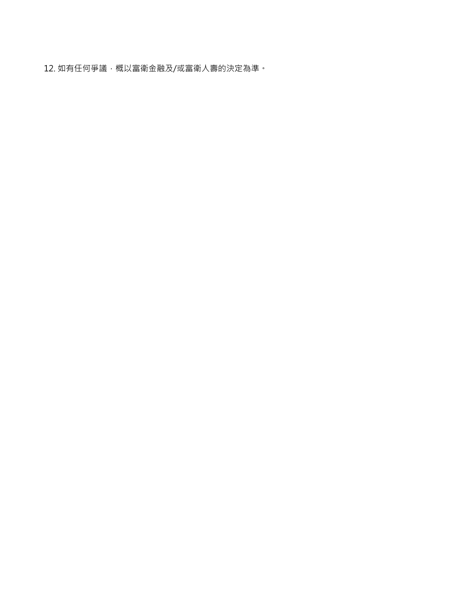12. 如有任何爭議,概以富衛金融及/或富衛人壽的決定為準。